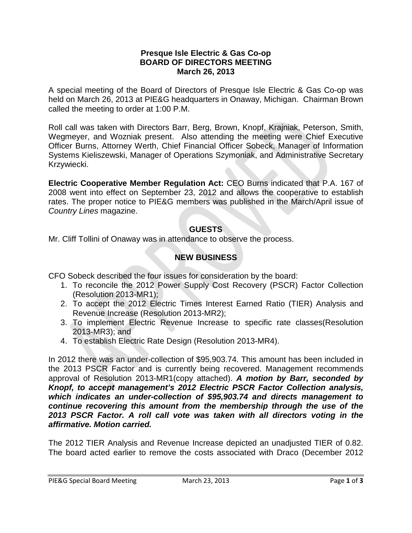## **Presque Isle Electric & Gas Co-op BOARD OF DIRECTORS MEETING March 26, 2013**

A special meeting of the Board of Directors of Presque Isle Electric & Gas Co-op was held on March 26, 2013 at PIE&G headquarters in Onaway, Michigan. Chairman Brown called the meeting to order at 1:00 P.M.

Roll call was taken with Directors Barr, Berg, Brown, Knopf, Krajniak, Peterson, Smith, Wegmeyer, and Wozniak present. Also attending the meeting were Chief Executive Officer Burns, Attorney Werth, Chief Financial Officer Sobeck, Manager of Information Systems Kieliszewski, Manager of Operations Szymoniak, and Administrative Secretary Krzywiecki.

**Electric Cooperative Member Regulation Act:** CEO Burns indicated that P.A. 167 of 2008 went into effect on September 23, 2012 and allows the cooperative to establish rates. The proper notice to PIE&G members was published in the March/April issue of *Country Lines* magazine.

## **GUESTS**

Mr. Cliff Tollini of Onaway was in attendance to observe the process.

## **NEW BUSINESS**

CFO Sobeck described the four issues for consideration by the board:

- 1. To reconcile the 2012 Power Supply Cost Recovery (PSCR) Factor Collection (Resolution 2013-MR1);
- 2. To accept the 2012 Electric Times Interest Earned Ratio (TIER) Analysis and Revenue Increase (Resolution 2013-MR2);
- 3. To implement Electric Revenue Increase to specific rate classes(Resolution 2013-MR3); and
- 4. To establish Electric Rate Design (Resolution 2013-MR4).

In 2012 there was an under-collection of \$95,903.74. This amount has been included in the 2013 PSCR Factor and is currently being recovered. Management recommends approval of Resolution 2013-MR1(copy attached). *A motion by Barr, seconded by Knopf, to accept management's 2012 Electric PSCR Factor Collection analysis, which indicates an under-collection of \$95,903.74 and directs management to continue recovering this amount from the membership through the use of the 2013 PSCR Factor. A roll call vote was taken with all directors voting in the affirmative. Motion carried.*

The 2012 TIER Analysis and Revenue Increase depicted an unadjusted TIER of 0.82. The board acted earlier to remove the costs associated with Draco (December 2012

PIE&G Special Board Meeting March 23, 2013 Page 1 of 3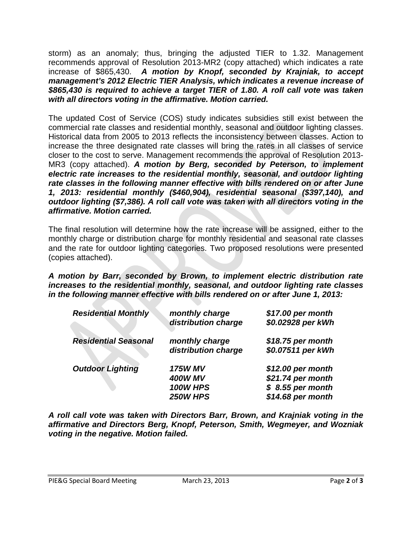storm) as an anomaly; thus, bringing the adjusted TIER to 1.32. Management recommends approval of Resolution 2013-MR2 (copy attached) which indicates a rate increase of \$865,430. *A motion by Knopf, seconded by Krajniak, to accept management's 2012 Electric TIER Analysis, which indicates a revenue increase of \$865,430 is required to achieve a target TIER of 1.80. A roll call vote was taken with all directors voting in the affirmative. Motion carried.*

The updated Cost of Service (COS) study indicates subsidies still exist between the commercial rate classes and residential monthly, seasonal and outdoor lighting classes. Historical data from 2005 to 2013 reflects the inconsistency between classes. Action to increase the three designated rate classes will bring the rates in all classes of service closer to the cost to serve. Management recommends the approval of Resolution 2013- MR3 (copy attached). *A motion by Berg, seconded by Peterson, to implement electric rate increases to the residential monthly, seasonal, and outdoor lighting rate classes in the following manner effective with bills rendered on or after June 1, 2013: residential monthly (\$460,904), residential seasonal (\$397,140), and outdoor lighting (\$7,386). A roll call vote was taken with all directors voting in the affirmative. Motion carried.*

The final resolution will determine how the rate increase will be assigned, either to the monthly charge or distribution charge for monthly residential and seasonal rate classes and the rate for outdoor lighting categories. Two proposed resolutions were presented (copies attached).

*A motion by Barr, seconded by Brown, to implement electric distribution rate increases to the residential monthly, seasonal, and outdoor lighting rate classes in the following manner effective with bills rendered on or after June 1, 2013:*

| <b>Residential Monthly</b>  | monthly charge<br>distribution charge                    | \$17.00 per month<br>\$0.02928 per kWh                                           |
|-----------------------------|----------------------------------------------------------|----------------------------------------------------------------------------------|
| <b>Residential Seasonal</b> | monthly charge<br>distribution charge                    | \$18.75 per month<br>\$0.07511 per kWh                                           |
| <b>Outdoor Lighting</b>     | <b>175W MV</b><br><b>400W MV</b><br>100W HPS<br>250W HPS | \$12.00 per month<br>\$21.74 per month<br>$$8.55$ per month<br>\$14.68 per month |

*A roll call vote was taken with Directors Barr, Brown, and Krajniak voting in the affirmative and Directors Berg, Knopf, Peterson, Smith, Wegmeyer, and Wozniak voting in the negative. Motion failed.*

PIE&G Special Board Meeting March 23, 2013 Page **2** of **3**